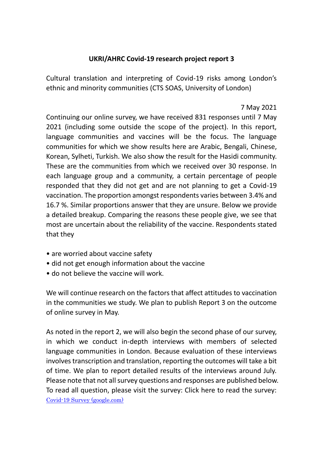## **UKRI/AHRC Covid-19 research project report 3**

Cultural translation and interpreting of Covid-19 risks among London's ethnic and minority communities (CTS SOAS, University of London)

7 May 2021

Continuing our online survey, we have received 831 responses until 7 May 2021 (including some outside the scope of the project). In this report, language communities and vaccines will be the focus. The language communities for which we show results here are Arabic, Bengali, Chinese, Korean, Sylheti, Turkish. We also show the result for the Hasidi community. These are the communities from which we received over 30 response. In each language group and a community, a certain percentage of people responded that they did not get and are not planning to get a Covid-19 vaccination. The proportion amongst respondents varies between 3.4% and 16.7 %. Similar proportions answer that they are unsure. Below we provide a detailed breakup. Comparing the reasons these people give, we see that most are uncertain about the reliability of the vaccine. Respondents stated that they

- are worried about vaccine safety
- did not get enough information about the vaccine
- do not believe the vaccine will work.

We will continue research on the factors that affect attitudes to vaccination in the communities we study. We plan to publish Report 3 on the outcome of online survey in May.

As noted in the report 2, we will also begin the second phase of our survey, in which we conduct in-depth interviews with members of selected language communities in London. Because evaluation of these interviews involves transcription and translation, reporting the outcomes will take a bit of time. We plan to report detailed results of the interviews around July. Please note that not all survey questions and responses are published below. To read all question, please visit the survey: Click here to read the survey: [Covid-19 Survey \(google.com\)](https://docs.google.com/forms/d/e/1FAIpQLSfAyndNVVMHtr7taiV4iISFxmJx9jQpjHdnuXoa5IIvgXRemQ/viewform)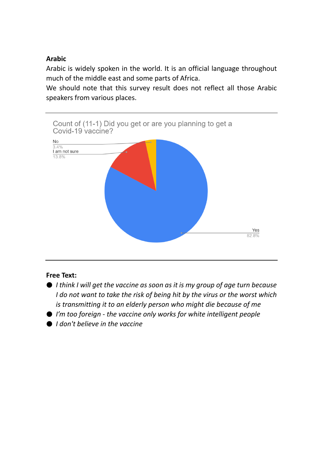## **Arabic**

Arabic is widely spoken in the world. It is an official language throughout much of the middle east and some parts of Africa.

We should note that this survey result does not reflect all those Arabic speakers from various places.



## **Free Text:**

- *I think I will get the vaccine as soon as it is my group of age turn because I do not want to take the risk of being hit by the virus or the worst which is transmitting it to an elderly person who might die because of me*
- *I'm too foreign - the vaccine only works for white intelligent people*
- *I don't believe in the vaccine*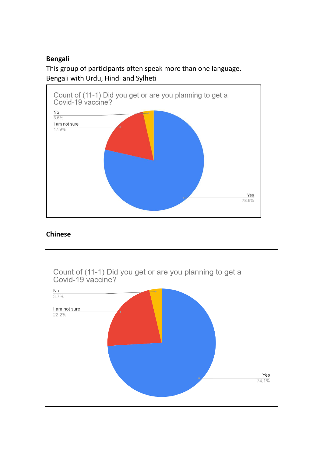## **Bengali**

This group of participants often speak more than one language. Bengali with Urdu, Hindi and Sylheti



## **Chinese**

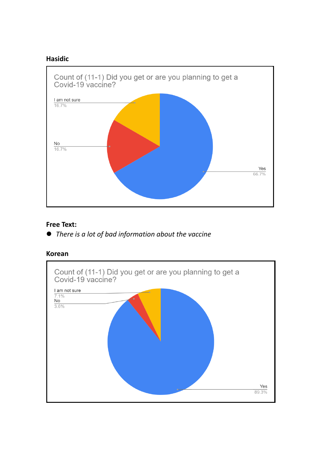## **Hasidic**



#### **Free Text:**

⚫ *There is a lot of bad information about the vaccine*

#### **Korean**

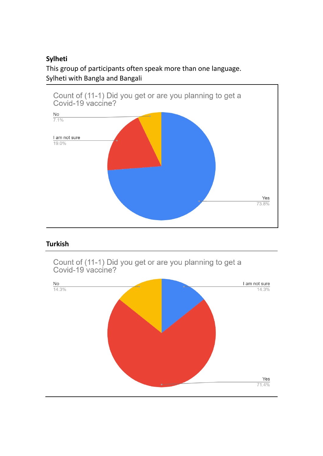# **Sylheti**

This group of participants often speak more than one language. Sylheti with Bangla and Bangali



## **Turkish**

Count of (11-1) Did you get or are you planning to get a<br>Covid-19 vaccine?